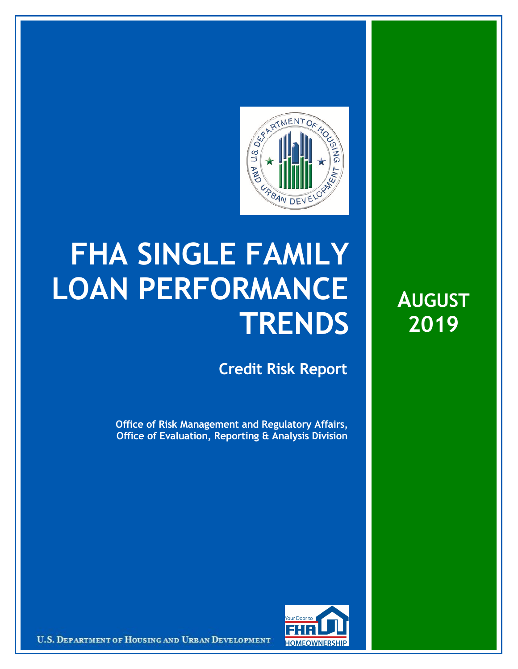

## **FHA SINGLE FAMILY LOAN PERFORMANCE TRENDS**

**Credit Risk Report**

**Office of Risk Management and Regulatory Affairs, Office of Evaluation, Reporting & Analysis Division**





U.S. DEPARTMENT OF HOUSING AND URBAN DEVELOPMENT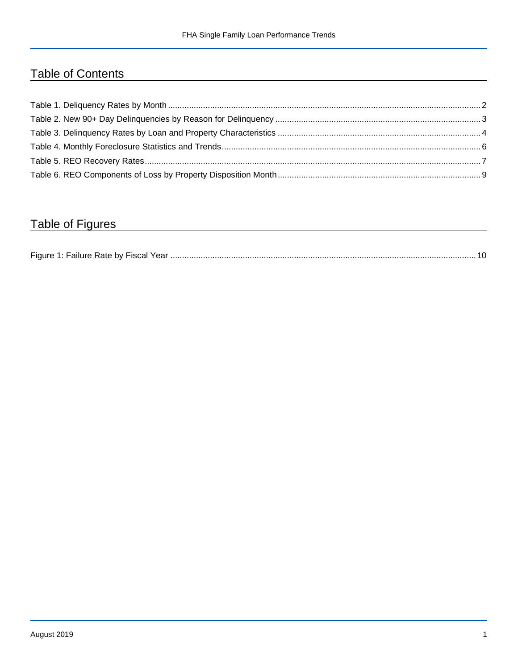## Table of Contents

## Table of Figures

| Figure 1 |  |
|----------|--|
|----------|--|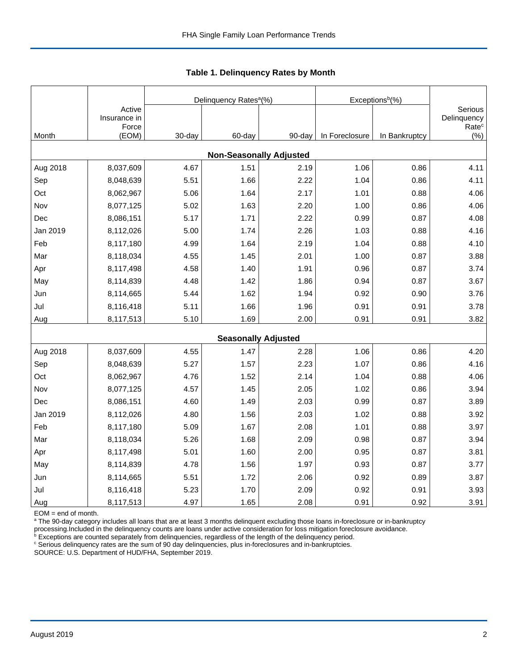|          |                                 |        | Delinquency Rates <sup>a</sup> (%) |        | Exceptions <sup>b</sup> (%) |               |                                             |
|----------|---------------------------------|--------|------------------------------------|--------|-----------------------------|---------------|---------------------------------------------|
|          | Active<br>Insurance in<br>Force |        |                                    |        |                             |               | Serious<br>Delinquency<br>Rate <sup>c</sup> |
| Month    | (EOM)                           | 30-day | 60-day                             | 90-day | In Foreclosure              | In Bankruptcy | $(\% )$                                     |
|          |                                 |        | <b>Non-Seasonally Adjusted</b>     |        |                             |               |                                             |
| Aug 2018 | 8,037,609                       | 4.67   | 1.51                               | 2.19   | 1.06                        | 0.86          | 4.11                                        |
| Sep      | 8,048,639                       | 5.51   | 1.66                               | 2.22   | 1.04                        | 0.86          | 4.11                                        |
| Oct      | 8,062,967                       | 5.06   | 1.64                               | 2.17   | 1.01                        | 0.88          | 4.06                                        |
| Nov      | 8,077,125                       | 5.02   | 1.63                               | 2.20   | 1.00                        | 0.86          | 4.06                                        |
| Dec      | 8,086,151                       | 5.17   | 1.71                               | 2.22   | 0.99                        | 0.87          | 4.08                                        |
| Jan 2019 | 8,112,026                       | 5.00   | 1.74                               | 2.26   | 1.03                        | 0.88          | 4.16                                        |
| Feb      | 8,117,180                       | 4.99   | 1.64                               | 2.19   | 1.04                        | 0.88          | 4.10                                        |
| Mar      | 8,118,034                       | 4.55   | 1.45                               | 2.01   | 1.00                        | 0.87          | 3.88                                        |
| Apr      | 8,117,498                       | 4.58   | 1.40                               | 1.91   | 0.96                        | 0.87          | 3.74                                        |
| May      | 8,114,839                       | 4.48   | 1.42                               | 1.86   | 0.94                        | 0.87          | 3.67                                        |
| Jun      | 8,114,665                       | 5.44   | 1.62                               | 1.94   | 0.92                        | 0.90          | 3.76                                        |
| Jul      | 8,116,418                       | 5.11   | 1.66                               | 1.96   | 0.91                        | 0.91          | 3.78                                        |
| Aug      | 8,117,513                       | 5.10   | 1.69                               | 2.00   | 0.91                        | 0.91          | 3.82                                        |
|          |                                 |        | <b>Seasonally Adjusted</b>         |        |                             |               |                                             |
| Aug 2018 | 8,037,609                       | 4.55   | 1.47                               | 2.28   | 1.06                        | 0.86          | 4.20                                        |
| Sep      | 8,048,639                       | 5.27   | 1.57                               | 2.23   | 1.07                        | 0.86          | 4.16                                        |
| Oct      | 8,062,967                       | 4.76   | 1.52                               | 2.14   | 1.04                        | 0.88          | 4.06                                        |
| Nov      | 8,077,125                       | 4.57   | 1.45                               | 2.05   | 1.02                        | 0.86          | 3.94                                        |
| Dec      | 8,086,151                       | 4.60   | 1.49                               | 2.03   | 0.99                        | 0.87          | 3.89                                        |
| Jan 2019 | 8,112,026                       | 4.80   | 1.56                               | 2.03   | 1.02                        | 0.88          | 3.92                                        |
| Feb      | 8,117,180                       | 5.09   | 1.67                               | 2.08   | 1.01                        | 0.88          | 3.97                                        |
| Mar      | 8,118,034                       | 5.26   | 1.68                               | 2.09   | 0.98                        | 0.87          | 3.94                                        |
| Apr      | 8,117,498                       | 5.01   | 1.60                               | 2.00   | 0.95                        | 0.87          | 3.81                                        |
| May      | 8,114,839                       | 4.78   | 1.56                               | 1.97   | 0.93                        | 0.87          | 3.77                                        |
| Jun      | 8,114,665                       | 5.51   | 1.72                               | 2.06   | 0.92                        | 0.89          | 3.87                                        |
| Jul      | 8,116,418                       | 5.23   | 1.70                               | 2.09   | 0.92                        | 0.91          | 3.93                                        |
| Aug      | 8,117,513                       | 4.97   | 1.65                               | 2.08   | 0.91                        | 0.92          | 3.91                                        |

 **Table 1. Delinquency Rates by Month**

EOM = end of month.

<sup>a</sup> The 90-day category includes all loans that are at least 3 months delinquent excluding those loans in-foreclosure or in-bankruptcy

processing.Included in the delinquency counts are loans under active consideration for loss mitigation foreclosure avoidance.<br><sup>b</sup> Exceptions are counted separately from delinquencies, regardless of the length of the delinq

<sup>c</sup> Serious delinquency rates are the sum of 90 day delinquencies, plus in-foreclosures and in-bankruptcies.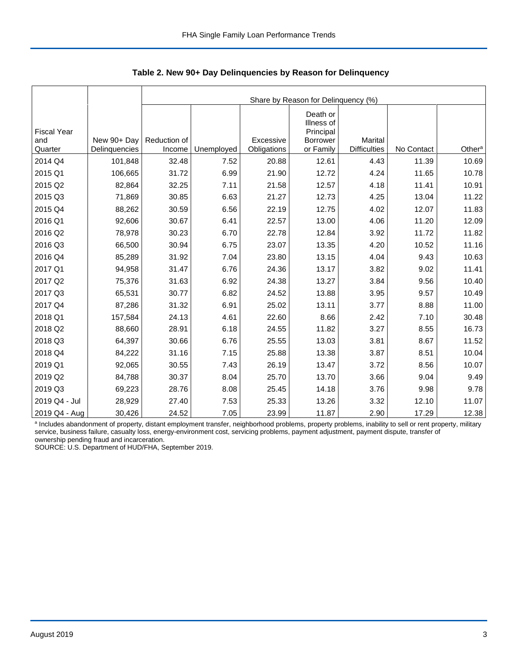|                                      |                              |                        | Share by Reason for Delinquency (%) |                          |                                                                     |                                |            |                    |  |  |  |  |  |
|--------------------------------------|------------------------------|------------------------|-------------------------------------|--------------------------|---------------------------------------------------------------------|--------------------------------|------------|--------------------|--|--|--|--|--|
| <b>Fiscal Year</b><br>and<br>Quarter | New 90+ Day<br>Delinquencies | Reduction of<br>Income | Unemployed                          | Excessive<br>Obligations | Death or<br>Illness of<br>Principal<br><b>Borrower</b><br>or Family | Marital<br><b>Difficulties</b> | No Contact | Other <sup>a</sup> |  |  |  |  |  |
| 2014 Q4                              | 101,848                      | 32.48                  | 7.52                                | 20.88                    | 12.61                                                               | 4.43                           | 11.39      | 10.69              |  |  |  |  |  |
| 2015 Q1                              | 106,665                      | 31.72                  | 6.99                                | 21.90                    | 12.72                                                               | 4.24                           | 11.65      | 10.78              |  |  |  |  |  |
| 2015 Q2                              | 82,864                       | 32.25                  | 7.11                                | 21.58                    | 12.57                                                               | 4.18                           | 11.41      | 10.91              |  |  |  |  |  |
| 2015 Q3                              | 71,869                       | 30.85                  | 6.63                                | 21.27                    | 12.73                                                               | 4.25                           | 13.04      | 11.22              |  |  |  |  |  |
|                                      |                              |                        |                                     |                          |                                                                     |                                |            |                    |  |  |  |  |  |
| 2015 Q4                              | 88,262                       | 30.59                  | 6.56                                | 22.19                    | 12.75                                                               | 4.02                           | 12.07      | 11.83              |  |  |  |  |  |
| 2016 Q1                              | 92,606                       | 30.67                  | 6.41                                | 22.57                    | 13.00                                                               | 4.06                           | 11.20      | 12.09              |  |  |  |  |  |
| 2016 Q2                              | 78,978                       | 30.23                  | 6.70                                | 22.78                    | 12.84                                                               | 3.92                           | 11.72      | 11.82              |  |  |  |  |  |
| 2016 Q3                              | 66,500                       | 30.94                  | 6.75                                | 23.07                    | 13.35                                                               | 4.20                           | 10.52      | 11.16              |  |  |  |  |  |
| 2016 Q4                              | 85,289                       | 31.92                  | 7.04                                | 23.80                    | 13.15                                                               | 4.04                           | 9.43       | 10.63              |  |  |  |  |  |
| 2017 Q1                              | 94,958                       | 31.47                  | 6.76                                | 24.36                    | 13.17                                                               | 3.82                           | 9.02       | 11.41              |  |  |  |  |  |
| 2017 Q2                              | 75,376                       | 31.63                  | 6.92                                | 24.38                    | 13.27                                                               | 3.84                           | 9.56       | 10.40              |  |  |  |  |  |
| 2017 Q3                              | 65,531                       | 30.77                  | 6.82                                | 24.52                    | 13.88                                                               | 3.95                           | 9.57       | 10.49              |  |  |  |  |  |
| 2017 Q4                              | 87,286                       | 31.32                  | 6.91                                | 25.02                    | 13.11                                                               | 3.77                           | 8.88       | 11.00              |  |  |  |  |  |
| 2018 Q1                              | 157,584                      | 24.13                  | 4.61                                | 22.60                    | 8.66                                                                | 2.42                           | 7.10       | 30.48              |  |  |  |  |  |
| 2018 Q2                              | 88,660                       | 28.91                  | 6.18                                | 24.55                    | 11.82                                                               | 3.27                           | 8.55       | 16.73              |  |  |  |  |  |
| 2018 Q3                              | 64,397                       | 30.66                  | 6.76                                | 25.55                    | 13.03                                                               | 3.81                           | 8.67       | 11.52              |  |  |  |  |  |
| 2018 Q4                              | 84,222                       | 31.16                  | 7.15                                | 25.88                    | 13.38                                                               | 3.87                           | 8.51       | 10.04              |  |  |  |  |  |
| 2019 Q1                              | 92,065                       | 30.55                  | 7.43                                | 26.19                    | 13.47                                                               | 3.72                           | 8.56       | 10.07              |  |  |  |  |  |
| 2019 Q2                              | 84,788                       | 30.37                  | 8.04                                | 25.70                    | 13.70                                                               | 3.66                           | 9.04       | 9.49               |  |  |  |  |  |
| 2019 Q3                              | 69,223                       | 28.76                  | 8.08                                | 25.45                    | 14.18                                                               | 3.76                           | 9.98       | 9.78               |  |  |  |  |  |
| 2019 Q4 - Jul                        | 28,929                       | 27.40                  | 7.53                                | 25.33                    | 13.26                                                               | 3.32                           | 12.10      | 11.07              |  |  |  |  |  |
| 2019 Q4 - Aug                        | 30,426                       | 24.52                  | 7.05                                | 23.99                    | 11.87                                                               | 2.90                           | 17.29      | 12.38              |  |  |  |  |  |

 **Table 2. New 90+ Day Delinquencies by Reason for Delinquency**

a Includes abandonment of property, distant employment transfer, neighborhood problems, property problems, inability to sell or rent property, military service, business failure, casualty loss, energy-environment cost, servicing problems, payment adjustment, payment dispute, transfer of ownership pending fraud and incarceration.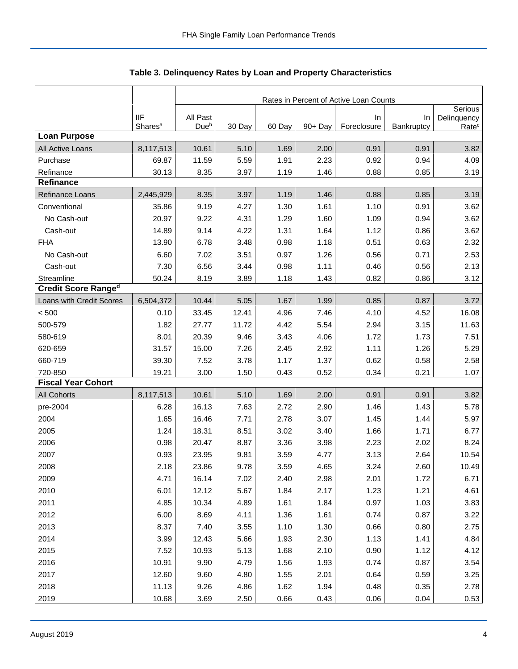|                            |                                   | Rates in Percent of Active Loan Counts |        |        |            |                   |                  |                                  |  |
|----------------------------|-----------------------------------|----------------------------------------|--------|--------|------------|-------------------|------------------|----------------------------------|--|
|                            |                                   |                                        |        |        |            |                   |                  | Serious                          |  |
|                            | <b>IIF</b><br>Shares <sup>a</sup> | All Past<br>Due <sup>b</sup>           | 30 Day | 60 Day | $90 + Day$ | In<br>Foreclosure | In<br>Bankruptcy | Delinquency<br>Rate <sup>c</sup> |  |
| <b>Loan Purpose</b>        |                                   |                                        |        |        |            |                   |                  |                                  |  |
| All Active Loans           | 8,117,513                         | 10.61                                  | 5.10   | 1.69   | 2.00       | 0.91              | 0.91             | 3.82                             |  |
| Purchase                   | 69.87                             | 11.59                                  | 5.59   | 1.91   | 2.23       | 0.92              | 0.94             | 4.09                             |  |
| Refinance                  | 30.13                             | 8.35                                   | 3.97   | 1.19   | 1.46       | 0.88              | 0.85             | 3.19                             |  |
| <b>Refinance</b>           |                                   |                                        |        |        |            |                   |                  |                                  |  |
| Refinance Loans            | 2,445,929                         | 8.35                                   | 3.97   | 1.19   | 1.46       | 0.88              | 0.85             | 3.19                             |  |
| Conventional               | 35.86                             | 9.19                                   | 4.27   | 1.30   | 1.61       | 1.10              | 0.91             | 3.62                             |  |
| No Cash-out                | 20.97                             | 9.22                                   | 4.31   | 1.29   | 1.60       | 1.09              | 0.94             | 3.62                             |  |
| Cash-out                   | 14.89                             | 9.14                                   | 4.22   | 1.31   | 1.64       | 1.12              | 0.86             | 3.62                             |  |
| <b>FHA</b>                 | 13.90                             | 6.78                                   | 3.48   | 0.98   | 1.18       | 0.51              | 0.63             | 2.32                             |  |
| No Cash-out                | 6.60                              | 7.02                                   | 3.51   | 0.97   | 1.26       | 0.56              | 0.71             | 2.53                             |  |
| Cash-out                   | 7.30                              | 6.56                                   | 3.44   | 0.98   | 1.11       | 0.46              | 0.56             | 2.13                             |  |
| Streamline                 | 50.24                             | 8.19                                   | 3.89   | 1.18   | 1.43       | 0.82              | 0.86             | 3.12                             |  |
| <b>Credit Score Ranged</b> |                                   |                                        |        |        |            |                   |                  |                                  |  |
| Loans with Credit Scores   | 6,504,372                         | 10.44                                  | 5.05   | 1.67   | 1.99       | 0.85              | 0.87             | 3.72                             |  |
| < 500                      | 0.10                              | 33.45                                  | 12.41  | 4.96   | 7.46       | 4.10              | 4.52             | 16.08                            |  |
| 500-579                    | 1.82                              | 27.77                                  | 11.72  | 4.42   | 5.54       | 2.94              | 3.15             | 11.63                            |  |
| 580-619                    | 8.01                              | 20.39                                  | 9.46   | 3.43   | 4.06       | 1.72              | 1.73             | 7.51                             |  |
| 620-659                    | 31.57                             | 15.00                                  | 7.26   | 2.45   | 2.92       | 1.11              | 1.26             | 5.29                             |  |
| 660-719                    | 39.30                             | 7.52                                   | 3.78   | 1.17   | 1.37       | 0.62              | 0.58             | 2.58                             |  |
| 720-850                    | 19.21                             | 3.00                                   | 1.50   | 0.43   | 0.52       | 0.34              | 0.21             | 1.07                             |  |
| <b>Fiscal Year Cohort</b>  |                                   |                                        |        |        |            |                   |                  |                                  |  |
| <b>All Cohorts</b>         | 8,117,513                         | 10.61                                  | 5.10   | 1.69   | 2.00       | 0.91              | 0.91             | 3.82                             |  |
| pre-2004                   | 6.28                              | 16.13                                  | 7.63   | 2.72   | 2.90       | 1.46              | 1.43             | 5.78                             |  |
| 2004                       | 1.65                              | 16.46                                  | 7.71   | 2.78   | 3.07       | 1.45              | 1.44             | 5.97                             |  |
| 2005                       | 1.24                              | 18.31                                  | 8.51   | 3.02   | 3.40       | 1.66              | 1.71             | 6.77                             |  |
| 2006                       | 0.98                              | 20.47                                  | 8.87   | 3.36   | 3.98       | 2.23              | 2.02             | 8.24                             |  |
| 2007                       | 0.93                              | 23.95                                  | 9.81   | 3.59   | 4.77       | 3.13              | 2.64             | 10.54                            |  |
| 2008                       | 2.18                              | 23.86                                  | 9.78   | 3.59   | 4.65       | 3.24              | 2.60             | 10.49                            |  |
| 2009                       | 4.71                              | 16.14                                  | 7.02   | 2.40   | 2.98       | 2.01              | 1.72             | 6.71                             |  |
| 2010                       | 6.01                              | 12.12                                  | 5.67   | 1.84   | 2.17       | 1.23              | 1.21             | 4.61                             |  |
| 2011                       | 4.85                              | 10.34                                  | 4.89   | 1.61   | 1.84       | 0.97              | 1.03             | 3.83                             |  |
| 2012                       | 6.00                              | 8.69                                   | 4.11   | 1.36   | 1.61       | 0.74              | 0.87             | 3.22                             |  |
| 2013                       | 8.37                              | 7.40                                   | 3.55   | 1.10   | 1.30       | 0.66              | 0.80             | 2.75                             |  |
| 2014                       | 3.99                              | 12.43                                  | 5.66   | 1.93   | 2.30       | 1.13              | 1.41             | 4.84                             |  |
| 2015                       | 7.52                              | 10.93                                  | 5.13   | 1.68   | 2.10       | 0.90              | 1.12             | 4.12                             |  |
| 2016                       | 10.91                             | 9.90                                   | 4.79   | 1.56   | 1.93       | 0.74              | 0.87             | 3.54                             |  |
| 2017                       | 12.60                             | 9.60                                   | 4.80   | 1.55   | 2.01       | 0.64              | 0.59             | 3.25                             |  |
| 2018                       | 11.13                             | 9.26                                   | 4.86   | 1.62   | 1.94       | 0.48              | 0.35             | 2.78                             |  |
| 2019                       | 10.68                             | 3.69                                   | 2.50   | 0.66   | 0.43       | 0.06              | 0.04             | 0.53                             |  |

**Table 3. Delinquency Rates by Loan and Property Characteristics**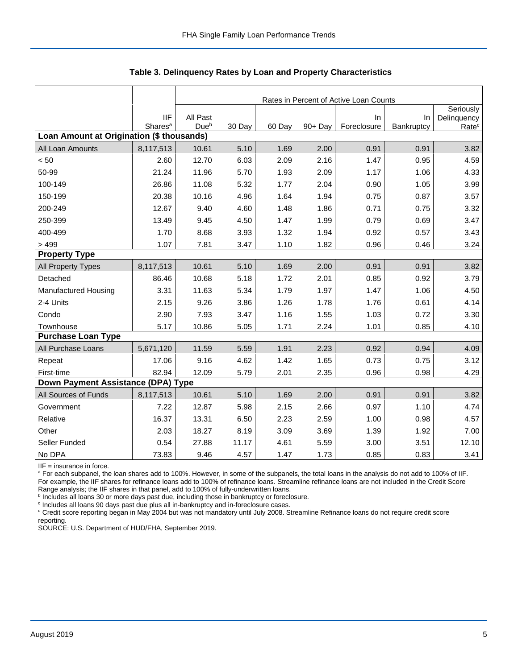|                                           |                                   | Rates in Percent of Active Loan Counts |        |        |         |                      |            |                   |  |  |
|-------------------------------------------|-----------------------------------|----------------------------------------|--------|--------|---------|----------------------|------------|-------------------|--|--|
|                                           |                                   |                                        |        |        |         |                      |            | Seriously         |  |  |
|                                           | <b>IIF</b><br>Shares <sup>a</sup> | All Past<br>Due <sup>b</sup>           | 30 Day | 60 Day | 90+ Day | $\ln$<br>Foreclosure | In         | Delinquency       |  |  |
| Loan Amount at Origination (\$ thousands) |                                   |                                        |        |        |         |                      | Bankruptcy | Rate <sup>c</sup> |  |  |
| All Loan Amounts                          | 8,117,513                         | 10.61                                  | 5.10   | 1.69   | 2.00    | 0.91                 | 0.91       | 3.82              |  |  |
| < 50                                      | 2.60                              | 12.70                                  | 6.03   | 2.09   | 2.16    | 1.47                 | 0.95       | 4.59              |  |  |
| 50-99                                     | 21.24                             | 11.96                                  | 5.70   | 1.93   | 2.09    | 1.17                 | 1.06       | 4.33              |  |  |
| 100-149                                   | 26.86                             | 11.08                                  | 5.32   | 1.77   | 2.04    | 0.90                 | 1.05       | 3.99              |  |  |
| 150-199                                   | 20.38                             | 10.16                                  | 4.96   | 1.64   | 1.94    | 0.75                 | 0.87       | 3.57              |  |  |
| 200-249                                   | 12.67                             | 9.40                                   | 4.60   | 1.48   | 1.86    | 0.71                 | 0.75       | 3.32              |  |  |
| 250-399                                   | 13.49                             | 9.45                                   | 4.50   | 1.47   | 1.99    | 0.79                 | 0.69       | 3.47              |  |  |
| 400-499                                   | 1.70                              | 8.68                                   | 3.93   | 1.32   | 1.94    | 0.92                 | 0.57       | 3.43              |  |  |
| >499                                      | 1.07                              | 7.81                                   | 3.47   | 1.10   | 1.82    | 0.96                 | 0.46       | 3.24              |  |  |
| <b>Property Type</b>                      |                                   |                                        |        |        |         |                      |            |                   |  |  |
| All Property Types                        | 8,117,513                         | 10.61                                  | 5.10   | 1.69   | 2.00    | 0.91                 | 0.91       | 3.82              |  |  |
| Detached                                  | 86.46                             | 10.68                                  | 5.18   | 1.72   | 2.01    | 0.85                 | 0.92       | 3.79              |  |  |
| Manufactured Housing                      | 3.31                              | 11.63                                  | 5.34   | 1.79   | 1.97    | 1.47                 | 1.06       | 4.50              |  |  |
| 2-4 Units                                 | 2.15                              | 9.26                                   | 3.86   | 1.26   | 1.78    | 1.76                 | 0.61       | 4.14              |  |  |
| Condo                                     | 2.90                              | 7.93                                   | 3.47   | 1.16   | 1.55    | 1.03                 | 0.72       | 3.30              |  |  |
| Townhouse                                 | 5.17                              | 10.86                                  | 5.05   | 1.71   | 2.24    | 1.01                 | 0.85       | 4.10              |  |  |
| <b>Purchase Loan Type</b>                 |                                   |                                        |        |        |         |                      |            |                   |  |  |
| All Purchase Loans                        | 5,671,120                         | 11.59                                  | 5.59   | 1.91   | 2.23    | 0.92                 | 0.94       | 4.09              |  |  |
| Repeat                                    | 17.06                             | 9.16                                   | 4.62   | 1.42   | 1.65    | 0.73                 | 0.75       | 3.12              |  |  |
| First-time                                | 82.94                             | 12.09                                  | 5.79   | 2.01   | 2.35    | 0.96                 | 0.98       | 4.29              |  |  |
| Down Payment Assistance (DPA) Type        |                                   |                                        |        |        |         |                      |            |                   |  |  |
| All Sources of Funds                      | 8,117,513                         | 10.61                                  | 5.10   | 1.69   | 2.00    | 0.91                 | 0.91       | 3.82              |  |  |
| Government                                | 7.22                              | 12.87                                  | 5.98   | 2.15   | 2.66    | 0.97                 | 1.10       | 4.74              |  |  |
| Relative                                  | 16.37                             | 13.31                                  | 6.50   | 2.23   | 2.59    | 1.00                 | 0.98       | 4.57              |  |  |
| Other                                     | 2.03                              | 18.27                                  | 8.19   | 3.09   | 3.69    | 1.39                 | 1.92       | 7.00              |  |  |
| Seller Funded                             | 0.54                              | 27.88                                  | 11.17  | 4.61   | 5.59    | 3.00                 | 3.51       | 12.10             |  |  |
| No DPA                                    | 73.83                             | 9.46                                   | 4.57   | 1.47   | 1.73    | 0.85                 | 0.83       | 3.41              |  |  |

 **Table 3. Delinquency Rates by Loan and Property Characteristics**

IIF = insurance in force.

<sup>a</sup> For each subpanel, the loan shares add to 100%. However, in some of the subpanels, the total loans in the analysis do not add to 100% of IIF. For example, the IIF shares for refinance loans add to 100% of refinance loans. Streamline refinance loans are not included in the Credit Score

Range analysis; the IIF shares in that panel, add to 100% of fully-underwritten loans.<br><sup>b</sup> Includes all loans 30 or more days past due, including those in bankruptcy or foreclosure.

<sup>c</sup> Includes all loans 90 days past due plus all in-bankruptcy and in-foreclosure cases.

<sup>d</sup> Credit score reporting began in May 2004 but was not mandatory until July 2008. Streamline Refinance loans do not require credit score

reporting.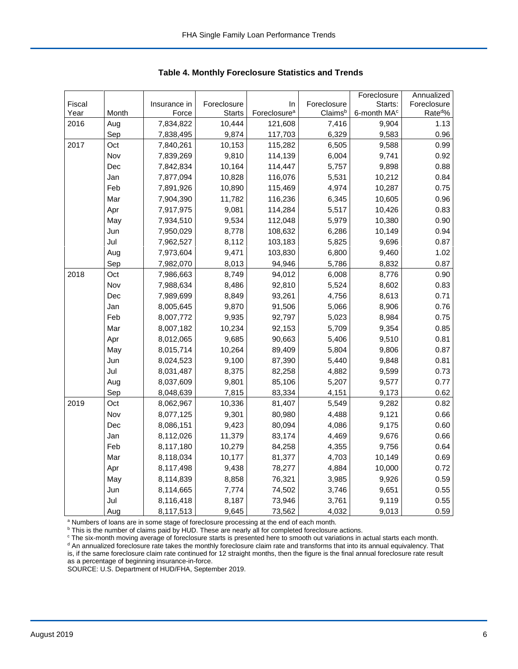|        |       |              |               |                          |             | Foreclosure             | Annualized         |
|--------|-------|--------------|---------------|--------------------------|-------------|-------------------------|--------------------|
| Fiscal |       | Insurance in | Foreclosure   | In                       | Foreclosure | Starts:                 | Foreclosure        |
| Year   | Month | Force        | <b>Starts</b> | Foreclosure <sup>a</sup> | Claimsb     | 6-month MA <sup>c</sup> | Rate <sup>d%</sup> |
| 2016   | Aug   | 7,834,822    | 10,444        | 121,608                  | 7,416       | 9,904                   | 1.13               |
|        | Sep   | 7,838,495    | 9,874         | 117,703                  | 6,329       | 9,583                   | 0.96               |
| 2017   | Oct   | 7,840,261    | 10,153        | 115,282                  | 6,505       | 9,588                   | 0.99               |
|        | Nov   | 7,839,269    | 9,810         | 114,139                  | 6,004       | 9,741                   | 0.92               |
|        | Dec   | 7,842,834    | 10,164        | 114,447                  | 5,757       | 9,898                   | 0.88               |
|        | Jan   | 7,877,094    | 10,828        | 116,076                  | 5,531       | 10,212                  | 0.84               |
|        | Feb   | 7,891,926    | 10,890        | 115,469                  | 4,974       | 10,287                  | 0.75               |
|        | Mar   | 7,904,390    | 11,782        | 116,236                  | 6,345       | 10,605                  | 0.96               |
|        | Apr   | 7,917,975    | 9,081         | 114,284                  | 5,517       | 10,426                  | 0.83               |
|        | May   | 7,934,510    | 9,534         | 112,048                  | 5,979       | 10,380                  | 0.90               |
|        | Jun   | 7,950,029    | 8,778         | 108,632                  | 6,286       | 10,149                  | 0.94               |
|        | Jul   | 7,962,527    | 8,112         | 103,183                  | 5,825       | 9,696                   | 0.87               |
|        | Aug   | 7,973,604    | 9,471         | 103,830                  | 6,800       | 9,460                   | 1.02               |
|        | Sep   | 7,982,070    | 8,013         | 94,946                   | 5,786       | 8,832                   | 0.87               |
| 2018   | Oct   | 7,986,663    | 8,749         | 94,012                   | 6,008       | 8,776                   | 0.90               |
|        | Nov   | 7,988,634    | 8,486         | 92,810                   | 5,524       | 8,602                   | 0.83               |
|        | Dec   | 7,989,699    | 8,849         | 93,261                   | 4,756       | 8,613                   | 0.71               |
|        | Jan   | 8,005,645    | 9,870         | 91,506                   | 5,066       | 8,906                   | 0.76               |
|        | Feb   | 8,007,772    | 9,935         | 92,797                   | 5,023       | 8,984                   | 0.75               |
|        | Mar   | 8,007,182    | 10,234        | 92,153                   | 5,709       | 9,354                   | 0.85               |
|        | Apr   | 8,012,065    | 9,685         | 90,663                   | 5,406       | 9,510                   | 0.81               |
|        | May   | 8,015,714    | 10,264        | 89,409                   | 5,804       | 9,806                   | 0.87               |
|        | Jun   | 8,024,523    | 9,100         | 87,390                   | 5,440       | 9,848                   | 0.81               |
|        | Jul   | 8,031,487    | 8,375         | 82,258                   | 4,882       | 9,599                   | 0.73               |
|        | Aug   | 8,037,609    | 9,801         | 85,106                   | 5,207       | 9,577                   | 0.77               |
|        | Sep   | 8,048,639    | 7,815         | 83,334                   | 4,151       | 9,173                   | 0.62               |
| 2019   | Oct   | 8,062,967    | 10,336        | 81,407                   | 5,549       | 9,282                   | 0.82               |
|        | Nov   | 8,077,125    | 9,301         | 80,980                   | 4,488       | 9,121                   | 0.66               |
|        | Dec   | 8,086,151    | 9,423         | 80,094                   | 4,086       | 9,175                   | 0.60               |
|        | Jan   | 8,112,026    | 11,379        | 83,174                   | 4,469       | 9,676                   | 0.66               |
|        | Feb   | 8,117,180    | 10,279        | 84,258                   | 4,355       | 9,756                   | 0.64               |
|        | Mar   | 8,118,034    | 10,177        | 81,377                   | 4,703       | 10,149                  | 0.69               |
|        | Apr   | 8,117,498    | 9,438         | 78,277                   | 4,884       | 10,000                  | 0.72               |
|        | May   | 8,114,839    | 8,858         | 76,321                   | 3,985       | 9,926                   | 0.59               |
|        | Jun   | 8,114,665    | 7,774         | 74,502                   | 3,746       | 9,651                   | 0.55               |
|        | Jul   | 8,116,418    | 8,187         | 73,946                   | 3,761       | 9,119                   | 0.55               |
|        | Aug   | 8,117,513    | 9,645         | 73,562                   | 4,032       | 9,013                   | 0.59               |

 **Table 4. Monthly Foreclosure Statistics and Trends**

<sup>a</sup> Numbers of loans are in some stage of foreclosure processing at the end of each month.

<sup>b</sup> This is the number of claims paid by HUD. These are nearly all for completed foreclosure actions.

<sup>c</sup> The six-month moving average of foreclosure starts is presented here to smooth out variations in actual starts each month. <sup>d</sup> An annualized foreclosure rate takes the monthly foreclosure claim rate and transforms that into its annual equivalency. That is, if the same foreclosure claim rate continued for 12 straight months, then the figure is the final annual foreclosure rate result as a percentage of beginning insurance-in-force.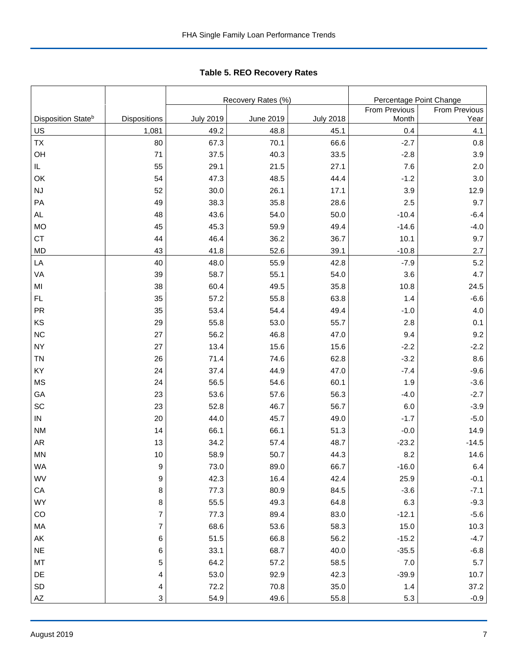|                                |                  |                  | Recovery Rates (%) | Percentage Point Change |               |                      |
|--------------------------------|------------------|------------------|--------------------|-------------------------|---------------|----------------------|
|                                |                  |                  |                    |                         | From Previous | <b>From Previous</b> |
| Disposition State <sup>b</sup> | Dispositions     | <b>July 2019</b> | <b>June 2019</b>   | <b>July 2018</b>        | Month         | Year                 |
| US                             | 1,081            | 49.2             | 48.8               | 45.1                    | 0.4           | 4.1                  |
| TX                             | 80               | 67.3             | 70.1               | 66.6                    | $-2.7$        | 0.8                  |
| OH                             | 71               | 37.5             | 40.3               | 33.5                    | $-2.8$        | 3.9                  |
| IL.                            | 55               | 29.1             | 21.5               | 27.1                    | 7.6           | 2.0                  |
| OK                             | 54               | 47.3             | 48.5               | 44.4                    | $-1.2$        | 3.0                  |
| <b>NJ</b>                      | 52               | 30.0             | 26.1               | 17.1                    | 3.9           | 12.9                 |
| PA                             | 49               | 38.3             | 35.8               | 28.6                    | 2.5           | 9.7                  |
| <b>AL</b>                      | 48               | 43.6             | 54.0               | 50.0                    | $-10.4$       | $-6.4$               |
| <b>MO</b>                      | 45               | 45.3             | 59.9               | 49.4                    | $-14.6$       | $-4.0$               |
| <b>CT</b>                      | 44               | 46.4             | 36.2               | 36.7                    | 10.1          | 9.7                  |
| <b>MD</b>                      | 43               | 41.8             | 52.6               | 39.1                    | $-10.8$       | 2.7                  |
| LA                             | 40               | 48.0             | 55.9               | 42.8                    | $-7.9$        | 5.2                  |
| VA                             | 39               | 58.7             | 55.1               | 54.0                    | 3.6           | 4.7                  |
| MI                             | 38               | 60.4             | 49.5               | 35.8                    | 10.8          | 24.5                 |
| <b>FL</b>                      | 35               | 57.2             | 55.8               | 63.8                    | 1.4           | $-6.6$               |
| <b>PR</b>                      | 35               | 53.4             | 54.4               | 49.4                    | $-1.0$        | 4.0                  |
| KS                             | 29               | 55.8             | 53.0               | 55.7                    | 2.8           | 0.1                  |
| <b>NC</b>                      | 27               | 56.2             | 46.8               | 47.0                    | 9.4           | 9.2                  |
| <b>NY</b>                      | 27               | 13.4             | 15.6               | 15.6                    | $-2.2$        | $-2.2$               |
| <b>TN</b>                      | 26               | 71.4             | 74.6               | 62.8                    | $-3.2$        | 8.6                  |
| KY                             | 24               | 37.4             | 44.9               | 47.0                    | $-7.4$        | $-9.6$               |
| <b>MS</b>                      | 24               | 56.5             | 54.6               | 60.1                    | 1.9           | $-3.6$               |
| GA                             | 23               | 53.6             | 57.6               | 56.3                    | $-4.0$        | $-2.7$               |
| SC                             | 23               | 52.8             | 46.7               | 56.7                    | 6.0           | $-3.9$               |
| ${\sf IN}$                     | 20               | 44.0             | 45.7               | 49.0                    | $-1.7$        | $-5.0$               |
| <b>NM</b>                      | 14               | 66.1             | 66.1               | 51.3                    | $-0.0$        | 14.9                 |
| AR                             | 13               | 34.2             | 57.4               | 48.7                    | $-23.2$       | $-14.5$              |
| MN                             | 10               | 58.9             | 50.7               | 44.3                    | 8.2           | 14.6                 |
| WA                             | $\boldsymbol{9}$ | 73.0             | 89.0               | 66.7                    | $-16.0$       | 6.4                  |
| WV                             | 9                | 42.3             | 16.4               | 42.4                    | 25.9          | $-0.1$               |
| CA                             | 8                | 77.3             | 80.9               | 84.5                    | $-3.6$        | $-7.1$               |
| <b>WY</b>                      | 8                | 55.5             | 49.3               | 64.8                    | 6.3           | $-9.3$               |
| CO                             | $\overline{7}$   | 77.3             | 89.4               | 83.0                    | $-12.1$       | $-5.6$               |
| MA                             | $\overline{7}$   | 68.6             | 53.6               | 58.3                    | 15.0          | 10.3                 |
| AK                             | 6                | 51.5             | 66.8               | 56.2                    | $-15.2$       | $-4.7$               |
| <b>NE</b>                      | 6                | 33.1             | 68.7               | 40.0                    | $-35.5$       | $-6.8$               |
| MT                             | 5                | 64.2             | 57.2               | 58.5                    | 7.0           | $5.7\,$              |
| DE                             | 4                | 53.0             | 92.9               | 42.3                    | $-39.9$       | 10.7                 |
| SD                             | 4                | 72.2             | 70.8               | 35.0                    | 1.4           | 37.2                 |
| AZ                             | 3                | 54.9             | 49.6               | 55.8                    | 5.3           | $-0.9$               |

Tabl e 5. REO R ecovery R ates **Table 5. REO Recovery Rates**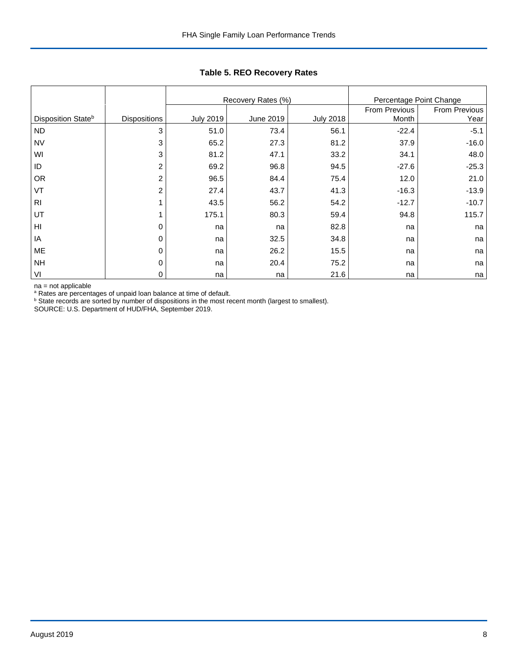|                                |                     |                  | Recovery Rates (%) |                  | Percentage Point Change |                       |
|--------------------------------|---------------------|------------------|--------------------|------------------|-------------------------|-----------------------|
| Disposition State <sup>b</sup> | <b>Dispositions</b> | <b>July 2019</b> | June 2019          | <b>July 2018</b> | From Previous<br>Month  | From Previous<br>Year |
| <b>ND</b>                      | 3                   | 51.0             | 73.4               | 56.1             | $-22.4$                 | $-5.1$                |
| <b>NV</b>                      | 3                   | 65.2             | 27.3               | 81.2             | 37.9                    | $-16.0$               |
| WI                             | 3                   | 81.2             | 47.1               | 33.2             | 34.1                    | 48.0                  |
| ID                             | 2                   | 69.2             | 96.8               | 94.5             | $-27.6$                 | $-25.3$               |
| <b>OR</b>                      | 2                   | 96.5             | 84.4               | 75.4             | 12.0                    | 21.0                  |
| VT                             | 2                   | 27.4             | 43.7               | 41.3             | $-16.3$                 | $-13.9$               |
| R <sub>l</sub>                 |                     | 43.5             | 56.2               | 54.2             | $-12.7$                 | $-10.7$               |
| UT                             |                     | 175.1            | 80.3               | 59.4             | 94.8                    | 115.7                 |
| HI                             | 0                   | na               | na                 | 82.8             | na                      | na                    |
| IA                             | 0                   | na               | 32.5               | 34.8             | na                      | na                    |
| ME                             | 0                   | na               | 26.2               | 15.5             | na                      | na                    |
| <b>NH</b>                      | 0                   | na               | 20.4               | 75.2             | na                      | na                    |
| VI                             | $\mathbf 0$         | na               | na                 | 21.6             | na                      | na                    |

## **Table 5. REO Recovery Rates**

na = not applicable<br>ª Rates are percentages of unpaid loan balance at time of default.<br><sup>b</sup> State records are sorted by number of dispositions in the most recent month (largest to smallest).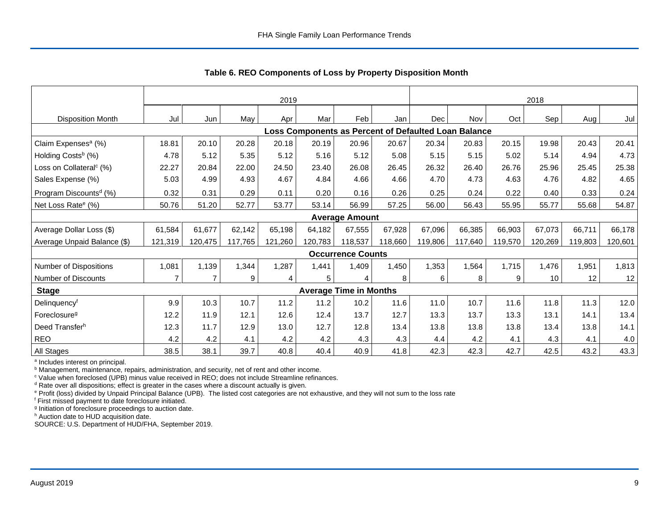|                                     | 2019    |                |         |         |         |                               | 2018    |                                                      |         |         |         |         |         |
|-------------------------------------|---------|----------------|---------|---------|---------|-------------------------------|---------|------------------------------------------------------|---------|---------|---------|---------|---------|
| <b>Disposition Month</b>            | Jul     | Jun            | May     | Apr     | Mar     | Feb                           | Jan     | <b>Dec</b>                                           | Nov     | Oct     | Sep     | Aug I   | Jul     |
|                                     |         |                |         |         |         |                               |         | Loss Components as Percent of Defaulted Loan Balance |         |         |         |         |         |
| Claim Expenses <sup>a</sup> (%)     | 18.81   | 20.10          | 20.28   | 20.18   | 20.19   | 20.96                         | 20.67   | 20.34                                                | 20.83   | 20.15   | 19.98   | 20.43   | 20.41   |
| Holding Costs <sup>b</sup> (%)      | 4.78    | 5.12           | 5.35    | 5.12    | 5.16    | 5.12                          | 5.08    | 5.15                                                 | 5.15    | 5.02    | 5.14    | 4.94    | 4.73    |
| Loss on Collateral <sup>c</sup> (%) | 22.27   | 20.84          | 22.00   | 24.50   | 23.40   | 26.08                         | 26.45   | 26.32                                                | 26.40   | 26.76   | 25.96   | 25.45   | 25.38   |
| Sales Expense (%)                   | 5.03    | 4.99           | 4.93    | 4.67    | 4.84    | 4.66                          | 4.66    | 4.70                                                 | 4.73    | 4.63    | 4.76    | 4.82    | 4.65    |
| Program Discounts <sup>d</sup> (%)  | 0.32    | 0.31           | 0.29    | 0.11    | 0.20    | 0.16                          | 0.26    | 0.25                                                 | 0.24    | 0.22    | 0.40    | 0.33    | 0.24    |
| Net Loss Rate <sup>e</sup> (%)      | 50.76   | 51.20          | 52.77   | 53.77   | 53.14   | 56.99                         | 57.25   | 56.00                                                | 56.43   | 55.95   | 55.77   | 55.68   | 54.87   |
|                                     |         |                |         |         |         | <b>Average Amount</b>         |         |                                                      |         |         |         |         |         |
| Average Dollar Loss (\$)            | 61,584  | 61.677         | 62,142  | 65,198  | 64.182  | 67,555                        | 67,928  | 67.096                                               | 66,385  | 66,903  | 67,073  | 66.711  | 66,178  |
| Average Unpaid Balance (\$)         | 121,319 | 120,475        | 117,765 | 121,260 | 120,783 | 118,537                       | 118,660 | 119,806                                              | 117,640 | 119,570 | 120,269 | 119,803 | 120,601 |
|                                     |         |                |         |         |         | <b>Occurrence Counts</b>      |         |                                                      |         |         |         |         |         |
| Number of Dispositions              | 1,081   | 1,139          | 1,344   | 1,287   | 1,441   | 1,409                         | 1,450   | 1,353                                                | 1,564   | 1,715   | 1,476   | 1,951   | 1,813   |
| Number of Discounts                 |         | $\overline{7}$ | 9       |         | 5       | 4                             | 8       | 6                                                    | 8       | 9       | 10      | 12      | 12      |
| <b>Stage</b>                        |         |                |         |         |         | <b>Average Time in Months</b> |         |                                                      |         |         |         |         |         |
| Delinquencyf                        | 9.9     | 10.3           | 10.7    | 11.2    | 11.2    | 10.2                          | 11.6    | 11.0                                                 | 10.7    | 11.6    | 11.8    | 11.3    | 12.0    |
| Foreclosure <sup>g</sup>            | 12.2    | 11.9           | 12.1    | 12.6    | 12.4    | 13.7                          | 12.7    | 13.3                                                 | 13.7    | 13.3    | 13.1    | 14.1    | 13.4    |
| Deed Transferh                      | 12.3    | 11.7           | 12.9    | 13.0    | 12.7    | 12.8                          | 13.4    | 13.8                                                 | 13.8    | 13.8    | 13.4    | 13.8    | 14.1    |
| <b>REO</b>                          | 4.2     | 4.2            | 4.1     | 4.2     | 4.2     | 4.3                           | 4.3     | 4.4                                                  | 4.2     | 4.1     | 4.3     | 4.1     | 4.0     |
| All Stages                          | 38.5    | 38.1           | 39.7    | 40.8    | 40.4    | 40.9                          | 41.8    | 42.3                                                 | 42.3    | 42.7    | 42.5    | 43.2    | 43.3    |

 **Table 6. REO Components of Loss by Property Disposition Month**

<sup>a</sup> Includes interest on principal.

<sup>b</sup> Management, maintenance, repairs, administration, and security, net of rent and other income.

c Value when foreclosed (UPB) minus value received in REO; does not include Streamline refinances.

<sup>d</sup> Rate over all dispositions; effect is greater in the cases where a discount actually is given.

e Profit (loss) divided by Unpaid Principal Balance (UPB). The listed cost categories are not exhaustive, and they will not sum to the loss rate

f First missed payment to date foreclosure initiated.

<sup>g</sup> Initiation of foreclosure proceedings to auction date.

h Auction date to HUD acquisition date.